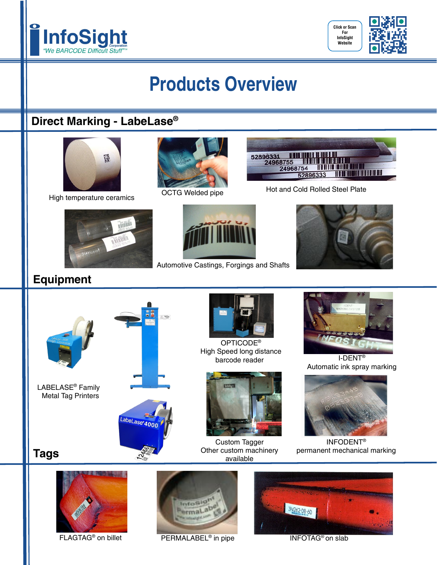



# **Products Overview**

### **Direct Marking - LabeLase®**











## **Equipment**



LABELASE® Family Metal Tag Printers

**Tags**





Automotive Castings, Forgings and Shafts

OPTICODE® High Speed long distance barcode reader



Custom Tagger Other custom machinery available



I-DENT® Automatic ink spray marking



INFODENT® permanent mechanical marking





FLAGTAG<sup>®</sup> on billet PERMALABEL<sup>®</sup> in pipe



INFOTAG<sup>®</sup> on slab